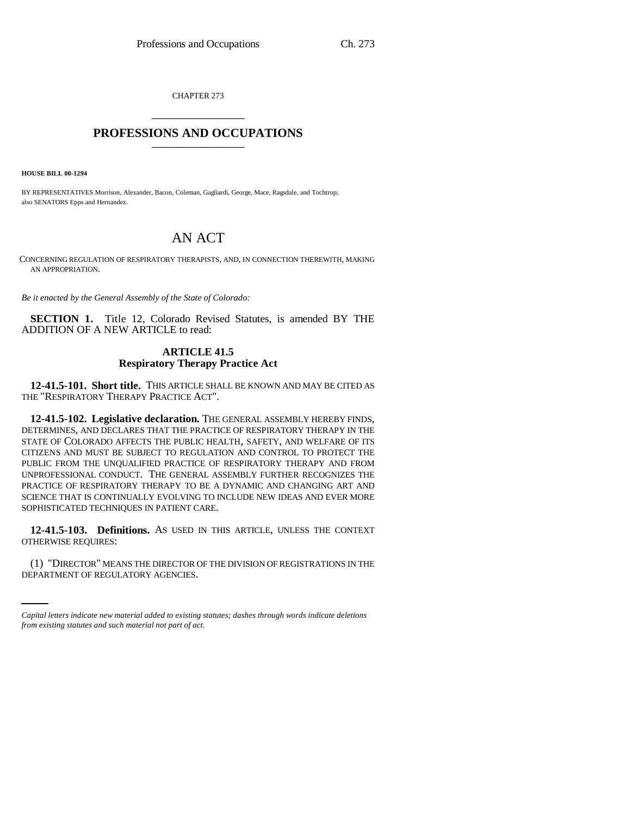CHAPTER 273 \_\_\_\_\_\_\_\_\_\_\_\_\_\_\_

## **PROFESSIONS AND OCCUPATIONS** \_\_\_\_\_\_\_\_\_\_\_\_\_\_\_

**HOUSE BILL 00-1294** 

BY REPRESENTATIVES Morrison, Alexander, Bacon, Coleman, Gagliardi, George, Mace, Ragsdale, and Tochtrop; also SENATORS Epps and Hernandez.

# AN ACT

CONCERNING REGULATION OF RESPIRATORY THERAPISTS, AND, IN CONNECTION THEREWITH, MAKING AN APPROPRIATION.

*Be it enacted by the General Assembly of the State of Colorado:*

**SECTION 1.** Title 12, Colorado Revised Statutes, is amended BY THE ADDITION OF A NEW ARTICLE to read:

## **ARTICLE 41.5 Respiratory Therapy Practice Act**

**12-41.5-101. Short title.** THIS ARTICLE SHALL BE KNOWN AND MAY BE CITED AS THE "RESPIRATORY THERAPY PRACTICE ACT".

**12-41.5-102. Legislative declaration.** THE GENERAL ASSEMBLY HEREBY FINDS, DETERMINES, AND DECLARES THAT THE PRACTICE OF RESPIRATORY THERAPY IN THE STATE OF COLORADO AFFECTS THE PUBLIC HEALTH, SAFETY, AND WELFARE OF ITS CITIZENS AND MUST BE SUBJECT TO REGULATION AND CONTROL TO PROTECT THE PUBLIC FROM THE UNQUALIFIED PRACTICE OF RESPIRATORY THERAPY AND FROM UNPROFESSIONAL CONDUCT. THE GENERAL ASSEMBLY FURTHER RECOGNIZES THE PRACTICE OF RESPIRATORY THERAPY TO BE A DYNAMIC AND CHANGING ART AND SCIENCE THAT IS CONTINUALLY EVOLVING TO INCLUDE NEW IDEAS AND EVER MORE SOPHISTICATED TECHNIQUES IN PATIENT CARE.

**12-41.5-103. Definitions.** AS USED IN THIS ARTICLE, UNLESS THE CONTEXT OTHERWISE REQUIRES:

(1) "DIRECTOR" MEANS THE DIRECTOR OF THE DIVISION OF REGISTRATIONS IN THE DEPARTMENT OF REGULATORY AGENCIES.

*Capital letters indicate new material added to existing statutes; dashes through words indicate deletions from existing statutes and such material not part of act.*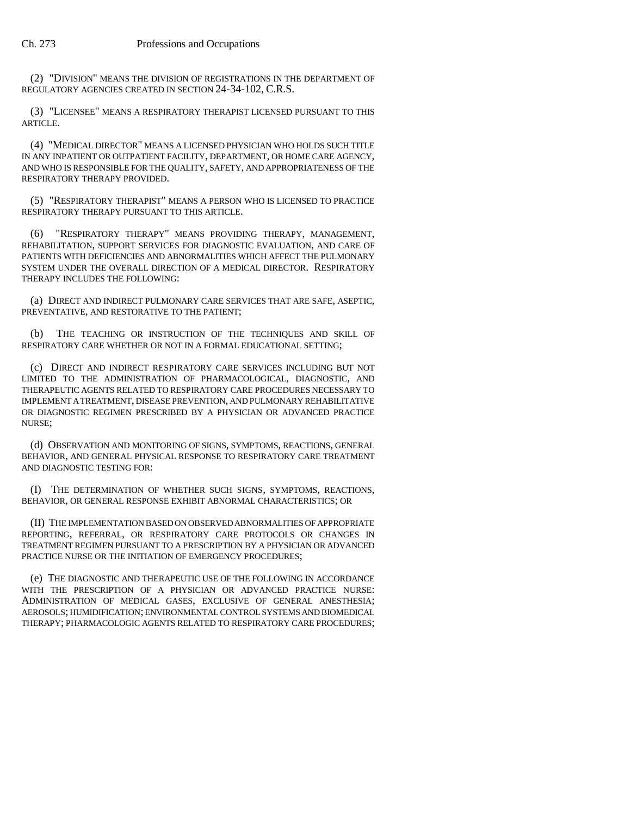(2) "DIVISION" MEANS THE DIVISION OF REGISTRATIONS IN THE DEPARTMENT OF REGULATORY AGENCIES CREATED IN SECTION 24-34-102, C.R.S.

(3) "LICENSEE" MEANS A RESPIRATORY THERAPIST LICENSED PURSUANT TO THIS ARTICLE.

(4) "MEDICAL DIRECTOR" MEANS A LICENSED PHYSICIAN WHO HOLDS SUCH TITLE IN ANY INPATIENT OR OUTPATIENT FACILITY, DEPARTMENT, OR HOME CARE AGENCY, AND WHO IS RESPONSIBLE FOR THE QUALITY, SAFETY, AND APPROPRIATENESS OF THE RESPIRATORY THERAPY PROVIDED.

(5) "RESPIRATORY THERAPIST" MEANS A PERSON WHO IS LICENSED TO PRACTICE RESPIRATORY THERAPY PURSUANT TO THIS ARTICLE.

(6) "RESPIRATORY THERAPY" MEANS PROVIDING THERAPY, MANAGEMENT, REHABILITATION, SUPPORT SERVICES FOR DIAGNOSTIC EVALUATION, AND CARE OF PATIENTS WITH DEFICIENCIES AND ABNORMALITIES WHICH AFFECT THE PULMONARY SYSTEM UNDER THE OVERALL DIRECTION OF A MEDICAL DIRECTOR. RESPIRATORY THERAPY INCLUDES THE FOLLOWING:

(a) DIRECT AND INDIRECT PULMONARY CARE SERVICES THAT ARE SAFE, ASEPTIC, PREVENTATIVE, AND RESTORATIVE TO THE PATIENT;

(b) THE TEACHING OR INSTRUCTION OF THE TECHNIQUES AND SKILL OF RESPIRATORY CARE WHETHER OR NOT IN A FORMAL EDUCATIONAL SETTING;

(c) DIRECT AND INDIRECT RESPIRATORY CARE SERVICES INCLUDING BUT NOT LIMITED TO THE ADMINISTRATION OF PHARMACOLOGICAL, DIAGNOSTIC, AND THERAPEUTIC AGENTS RELATED TO RESPIRATORY CARE PROCEDURES NECESSARY TO IMPLEMENT A TREATMENT, DISEASE PREVENTION, AND PULMONARY REHABILITATIVE OR DIAGNOSTIC REGIMEN PRESCRIBED BY A PHYSICIAN OR ADVANCED PRACTICE NURSE;

(d) OBSERVATION AND MONITORING OF SIGNS, SYMPTOMS, REACTIONS, GENERAL BEHAVIOR, AND GENERAL PHYSICAL RESPONSE TO RESPIRATORY CARE TREATMENT AND DIAGNOSTIC TESTING FOR:

(I) THE DETERMINATION OF WHETHER SUCH SIGNS, SYMPTOMS, REACTIONS, BEHAVIOR, OR GENERAL RESPONSE EXHIBIT ABNORMAL CHARACTERISTICS; OR

(II) THE IMPLEMENTATION BASED ON OBSERVED ABNORMALITIES OF APPROPRIATE REPORTING, REFERRAL, OR RESPIRATORY CARE PROTOCOLS OR CHANGES IN TREATMENT REGIMEN PURSUANT TO A PRESCRIPTION BY A PHYSICIAN OR ADVANCED PRACTICE NURSE OR THE INITIATION OF EMERGENCY PROCEDURES;

(e) THE DIAGNOSTIC AND THERAPEUTIC USE OF THE FOLLOWING IN ACCORDANCE WITH THE PRESCRIPTION OF A PHYSICIAN OR ADVANCED PRACTICE NURSE: ADMINISTRATION OF MEDICAL GASES, EXCLUSIVE OF GENERAL ANESTHESIA; AEROSOLS; HUMIDIFICATION; ENVIRONMENTAL CONTROL SYSTEMS AND BIOMEDICAL THERAPY; PHARMACOLOGIC AGENTS RELATED TO RESPIRATORY CARE PROCEDURES;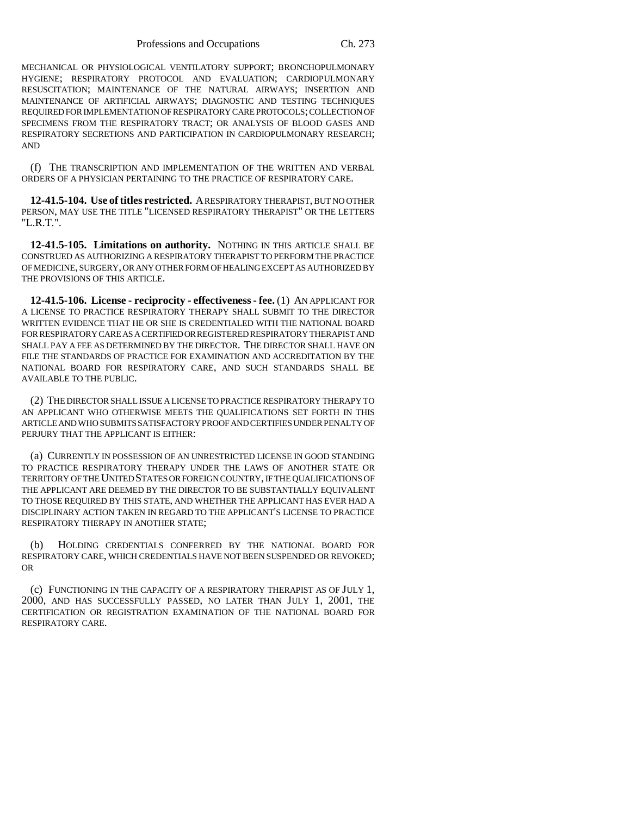MECHANICAL OR PHYSIOLOGICAL VENTILATORY SUPPORT; BRONCHOPULMONARY HYGIENE; RESPIRATORY PROTOCOL AND EVALUATION; CARDIOPULMONARY RESUSCITATION; MAINTENANCE OF THE NATURAL AIRWAYS; INSERTION AND MAINTENANCE OF ARTIFICIAL AIRWAYS; DIAGNOSTIC AND TESTING TECHNIQUES REQUIRED FOR IMPLEMENTATION OF RESPIRATORY CARE PROTOCOLS; COLLECTION OF SPECIMENS FROM THE RESPIRATORY TRACT; OR ANALYSIS OF BLOOD GASES AND RESPIRATORY SECRETIONS AND PARTICIPATION IN CARDIOPULMONARY RESEARCH; AND

(f) THE TRANSCRIPTION AND IMPLEMENTATION OF THE WRITTEN AND VERBAL ORDERS OF A PHYSICIAN PERTAINING TO THE PRACTICE OF RESPIRATORY CARE.

**12-41.5-104. Use of titles restricted.** A RESPIRATORY THERAPIST, BUT NO OTHER PERSON, MAY USE THE TITLE "LICENSED RESPIRATORY THERAPIST" OR THE LETTERS "L.R.T.".

**12-41.5-105. Limitations on authority.** NOTHING IN THIS ARTICLE SHALL BE CONSTRUED AS AUTHORIZING A RESPIRATORY THERAPIST TO PERFORM THE PRACTICE OF MEDICINE, SURGERY, OR ANY OTHER FORM OF HEALING EXCEPT AS AUTHORIZED BY THE PROVISIONS OF THIS ARTICLE.

**12-41.5-106. License - reciprocity - effectiveness - fee.** (1) AN APPLICANT FOR A LICENSE TO PRACTICE RESPIRATORY THERAPY SHALL SUBMIT TO THE DIRECTOR WRITTEN EVIDENCE THAT HE OR SHE IS CREDENTIALED WITH THE NATIONAL BOARD FOR RESPIRATORY CARE AS A CERTIFIED OR REGISTERED RESPIRATORY THERAPIST AND SHALL PAY A FEE AS DETERMINED BY THE DIRECTOR. THE DIRECTOR SHALL HAVE ON FILE THE STANDARDS OF PRACTICE FOR EXAMINATION AND ACCREDITATION BY THE NATIONAL BOARD FOR RESPIRATORY CARE, AND SUCH STANDARDS SHALL BE AVAILABLE TO THE PUBLIC.

(2) THE DIRECTOR SHALL ISSUE A LICENSE TO PRACTICE RESPIRATORY THERAPY TO AN APPLICANT WHO OTHERWISE MEETS THE QUALIFICATIONS SET FORTH IN THIS ARTICLE AND WHO SUBMITS SATISFACTORY PROOF AND CERTIFIES UNDER PENALTY OF PERJURY THAT THE APPLICANT IS EITHER:

(a) CURRENTLY IN POSSESSION OF AN UNRESTRICTED LICENSE IN GOOD STANDING TO PRACTICE RESPIRATORY THERAPY UNDER THE LAWS OF ANOTHER STATE OR TERRITORY OF THE UNITED STATES OR FOREIGN COUNTRY, IF THE QUALIFICATIONS OF THE APPLICANT ARE DEEMED BY THE DIRECTOR TO BE SUBSTANTIALLY EQUIVALENT TO THOSE REQUIRED BY THIS STATE, AND WHETHER THE APPLICANT HAS EVER HAD A DISCIPLINARY ACTION TAKEN IN REGARD TO THE APPLICANT'S LICENSE TO PRACTICE RESPIRATORY THERAPY IN ANOTHER STATE;

(b) HOLDING CREDENTIALS CONFERRED BY THE NATIONAL BOARD FOR RESPIRATORY CARE, WHICH CREDENTIALS HAVE NOT BEEN SUSPENDED OR REVOKED; OR

(c) FUNCTIONING IN THE CAPACITY OF A RESPIRATORY THERAPIST AS OF JULY 1, 2000, AND HAS SUCCESSFULLY PASSED, NO LATER THAN JULY 1, 2001, THE CERTIFICATION OR REGISTRATION EXAMINATION OF THE NATIONAL BOARD FOR RESPIRATORY CARE.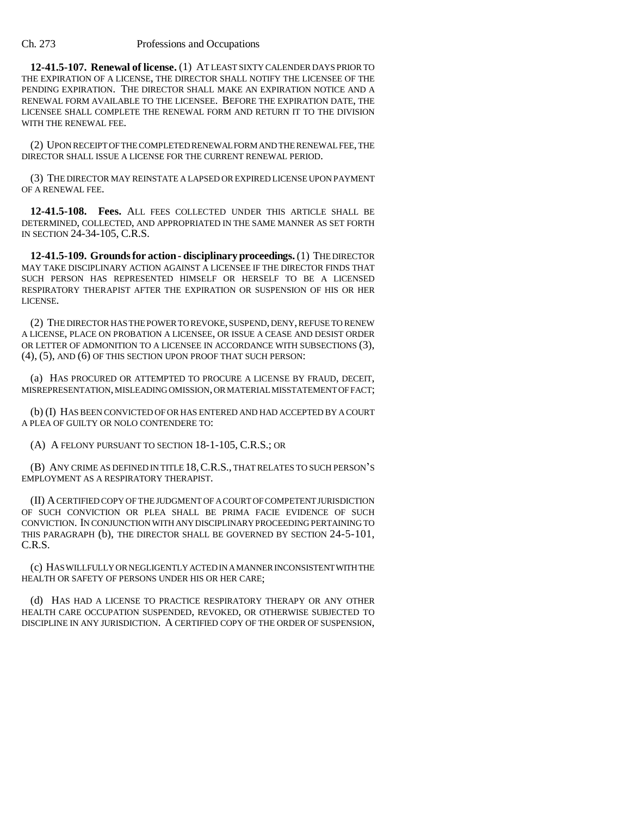### Ch. 273 Professions and Occupations

**12-41.5-107. Renewal of license.** (1) AT LEAST SIXTY CALENDER DAYS PRIOR TO THE EXPIRATION OF A LICENSE, THE DIRECTOR SHALL NOTIFY THE LICENSEE OF THE PENDING EXPIRATION. THE DIRECTOR SHALL MAKE AN EXPIRATION NOTICE AND A RENEWAL FORM AVAILABLE TO THE LICENSEE. BEFORE THE EXPIRATION DATE, THE LICENSEE SHALL COMPLETE THE RENEWAL FORM AND RETURN IT TO THE DIVISION WITH THE RENEWAL FEE.

(2) UPON RECEIPT OF THE COMPLETED RENEWAL FORM AND THE RENEWAL FEE, THE DIRECTOR SHALL ISSUE A LICENSE FOR THE CURRENT RENEWAL PERIOD.

(3) THE DIRECTOR MAY REINSTATE A LAPSED OR EXPIRED LICENSE UPON PAYMENT OF A RENEWAL FEE.

**12-41.5-108. Fees.** ALL FEES COLLECTED UNDER THIS ARTICLE SHALL BE DETERMINED, COLLECTED, AND APPROPRIATED IN THE SAME MANNER AS SET FORTH IN SECTION 24-34-105, C.R.S.

**12-41.5-109. Grounds for action - disciplinary proceedings.** (1) THE DIRECTOR MAY TAKE DISCIPLINARY ACTION AGAINST A LICENSEE IF THE DIRECTOR FINDS THAT SUCH PERSON HAS REPRESENTED HIMSELF OR HERSELF TO BE A LICENSED RESPIRATORY THERAPIST AFTER THE EXPIRATION OR SUSPENSION OF HIS OR HER LICENSE.

(2) THE DIRECTOR HAS THE POWER TO REVOKE, SUSPEND, DENY, REFUSE TO RENEW A LICENSE, PLACE ON PROBATION A LICENSEE, OR ISSUE A CEASE AND DESIST ORDER OR LETTER OF ADMONITION TO A LICENSEE IN ACCORDANCE WITH SUBSECTIONS (3), (4), (5), AND (6) OF THIS SECTION UPON PROOF THAT SUCH PERSON:

(a) HAS PROCURED OR ATTEMPTED TO PROCURE A LICENSE BY FRAUD, DECEIT, MISREPRESENTATION, MISLEADING OMISSION, OR MATERIAL MISSTATEMENT OF FACT;

(b) (I) HAS BEEN CONVICTED OF OR HAS ENTERED AND HAD ACCEPTED BY A COURT A PLEA OF GUILTY OR NOLO CONTENDERE TO:

(A) A FELONY PURSUANT TO SECTION 18-1-105, C.R.S.; OR

(B) ANY CRIME AS DEFINED IN TITLE 18,C.R.S., THAT RELATES TO SUCH PERSON <sup>S</sup> EMPLOYMENT AS A RESPIRATORY THERAPIST.

(II) A CERTIFIED COPY OF THE JUDGMENT OF A COURT OF COMPETENT JURISDICTION OF SUCH CONVICTION OR PLEA SHALL BE PRIMA FACIE EVIDENCE OF SUCH CONVICTION. IN CONJUNCTION WITH ANY DISCIPLINARY PROCEEDING PERTAINING TO THIS PARAGRAPH (b), THE DIRECTOR SHALL BE GOVERNED BY SECTION 24-5-101, C.R.S.

(c) HAS WILLFULLY OR NEGLIGENTLY ACTED IN A MANNER INCONSISTENT WITH THE HEALTH OR SAFETY OF PERSONS UNDER HIS OR HER CARE;

(d) HAS HAD A LICENSE TO PRACTICE RESPIRATORY THERAPY OR ANY OTHER HEALTH CARE OCCUPATION SUSPENDED, REVOKED, OR OTHERWISE SUBJECTED TO DISCIPLINE IN ANY JURISDICTION. A CERTIFIED COPY OF THE ORDER OF SUSPENSION,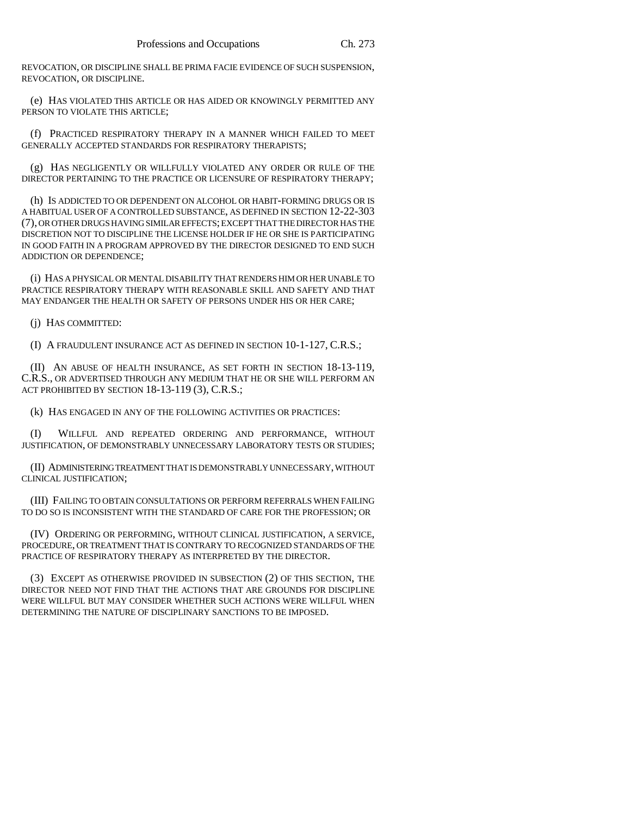REVOCATION, OR DISCIPLINE SHALL BE PRIMA FACIE EVIDENCE OF SUCH SUSPENSION, REVOCATION, OR DISCIPLINE.

(e) HAS VIOLATED THIS ARTICLE OR HAS AIDED OR KNOWINGLY PERMITTED ANY PERSON TO VIOLATE THIS ARTICLE;

(f) PRACTICED RESPIRATORY THERAPY IN A MANNER WHICH FAILED TO MEET GENERALLY ACCEPTED STANDARDS FOR RESPIRATORY THERAPISTS;

(g) HAS NEGLIGENTLY OR WILLFULLY VIOLATED ANY ORDER OR RULE OF THE DIRECTOR PERTAINING TO THE PRACTICE OR LICENSURE OF RESPIRATORY THERAPY;

(h) IS ADDICTED TO OR DEPENDENT ON ALCOHOL OR HABIT-FORMING DRUGS OR IS A HABITUAL USER OF A CONTROLLED SUBSTANCE, AS DEFINED IN SECTION 12-22-303 (7), OR OTHER DRUGS HAVING SIMILAR EFFECTS; EXCEPT THAT THE DIRECTOR HAS THE DISCRETION NOT TO DISCIPLINE THE LICENSE HOLDER IF HE OR SHE IS PARTICIPATING IN GOOD FAITH IN A PROGRAM APPROVED BY THE DIRECTOR DESIGNED TO END SUCH ADDICTION OR DEPENDENCE;

(i) HAS A PHYSICAL OR MENTAL DISABILITY THAT RENDERS HIM OR HER UNABLE TO PRACTICE RESPIRATORY THERAPY WITH REASONABLE SKILL AND SAFETY AND THAT MAY ENDANGER THE HEALTH OR SAFETY OF PERSONS UNDER HIS OR HER CARE;

(j) HAS COMMITTED:

(I) A FRAUDULENT INSURANCE ACT AS DEFINED IN SECTION 10-1-127, C.R.S.;

(II) AN ABUSE OF HEALTH INSURANCE, AS SET FORTH IN SECTION 18-13-119, C.R.S., OR ADVERTISED THROUGH ANY MEDIUM THAT HE OR SHE WILL PERFORM AN ACT PROHIBITED BY SECTION 18-13-119 (3), C.R.S.;

(k) HAS ENGAGED IN ANY OF THE FOLLOWING ACTIVITIES OR PRACTICES:

(I) WILLFUL AND REPEATED ORDERING AND PERFORMANCE, WITHOUT JUSTIFICATION, OF DEMONSTRABLY UNNECESSARY LABORATORY TESTS OR STUDIES;

(II) ADMINISTERING TREATMENT THAT IS DEMONSTRABLY UNNECESSARY, WITHOUT CLINICAL JUSTIFICATION;

(III) FAILING TO OBTAIN CONSULTATIONS OR PERFORM REFERRALS WHEN FAILING TO DO SO IS INCONSISTENT WITH THE STANDARD OF CARE FOR THE PROFESSION; OR

(IV) ORDERING OR PERFORMING, WITHOUT CLINICAL JUSTIFICATION, A SERVICE, PROCEDURE, OR TREATMENT THAT IS CONTRARY TO RECOGNIZED STANDARDS OF THE PRACTICE OF RESPIRATORY THERAPY AS INTERPRETED BY THE DIRECTOR.

(3) EXCEPT AS OTHERWISE PROVIDED IN SUBSECTION (2) OF THIS SECTION, THE DIRECTOR NEED NOT FIND THAT THE ACTIONS THAT ARE GROUNDS FOR DISCIPLINE WERE WILLFUL BUT MAY CONSIDER WHETHER SUCH ACTIONS WERE WILLFUL WHEN DETERMINING THE NATURE OF DISCIPLINARY SANCTIONS TO BE IMPOSED.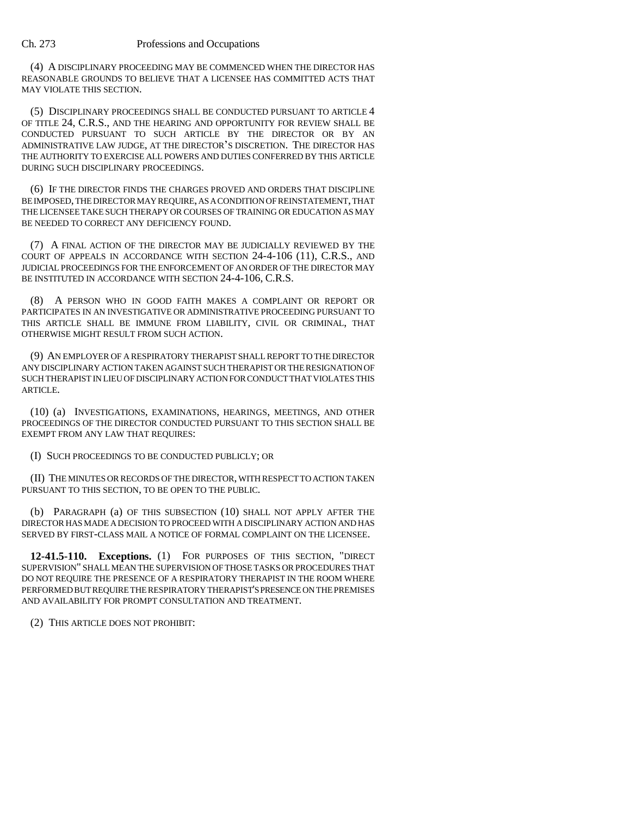### Ch. 273 Professions and Occupations

(4) A DISCIPLINARY PROCEEDING MAY BE COMMENCED WHEN THE DIRECTOR HAS REASONABLE GROUNDS TO BELIEVE THAT A LICENSEE HAS COMMITTED ACTS THAT MAY VIOLATE THIS SECTION.

(5) DISCIPLINARY PROCEEDINGS SHALL BE CONDUCTED PURSUANT TO ARTICLE 4 OF TITLE 24, C.R.S., AND THE HEARING AND OPPORTUNITY FOR REVIEW SHALL BE CONDUCTED PURSUANT TO SUCH ARTICLE BY THE DIRECTOR OR BY AN OF TITLE 24, C.R.S., AND THE HEARING AND OPPORTUNITY FOR REVIEW SHALL BE<br>CONDUCTED PURSUANT TO SUCH ARTICLE BY THE DIRECTOR OR BY AN<br>ADMINISTRATIVE LAW JUDGE, AT THE DIRECTOR'S DISCRETION. THE DIRECTOR HAS THE AUTHORITY TO EXERCISE ALL POWERS AND DUTIES CONFERRED BY THIS ARTICLE DURING SUCH DISCIPLINARY PROCEEDINGS.

(6) IF THE DIRECTOR FINDS THE CHARGES PROVED AND ORDERS THAT DISCIPLINE BE IMPOSED, THE DIRECTOR MAY REQUIRE, AS A CONDITION OF REINSTATEMENT, THAT THE LICENSEE TAKE SUCH THERAPY OR COURSES OF TRAINING OR EDUCATION AS MAY BE NEEDED TO CORRECT ANY DEFICIENCY FOUND.

(7) A FINAL ACTION OF THE DIRECTOR MAY BE JUDICIALLY REVIEWED BY THE COURT OF APPEALS IN ACCORDANCE WITH SECTION 24-4-106 (11), C.R.S., AND JUDICIAL PROCEEDINGS FOR THE ENFORCEMENT OF AN ORDER OF THE DIRECTOR MAY BE INSTITUTED IN ACCORDANCE WITH SECTION 24-4-106, C.R.S.

(8) A PERSON WHO IN GOOD FAITH MAKES A COMPLAINT OR REPORT OR PARTICIPATES IN AN INVESTIGATIVE OR ADMINISTRATIVE PROCEEDING PURSUANT TO THIS ARTICLE SHALL BE IMMUNE FROM LIABILITY, CIVIL OR CRIMINAL, THAT OTHERWISE MIGHT RESULT FROM SUCH ACTION.

(9) AN EMPLOYER OF A RESPIRATORY THERAPIST SHALL REPORT TO THE DIRECTOR ANY DISCIPLINARY ACTION TAKEN AGAINST SUCH THERAPIST OR THE RESIGNATION OF SUCH THERAPIST IN LIEU OF DISCIPLINARY ACTION FOR CONDUCT THAT VIOLATES THIS ARTICLE.

(10) (a) INVESTIGATIONS, EXAMINATIONS, HEARINGS, MEETINGS, AND OTHER PROCEEDINGS OF THE DIRECTOR CONDUCTED PURSUANT TO THIS SECTION SHALL BE EXEMPT FROM ANY LAW THAT REQUIRES:

(I) SUCH PROCEEDINGS TO BE CONDUCTED PUBLICLY; OR

(II) THE MINUTES OR RECORDS OF THE DIRECTOR, WITH RESPECT TO ACTION TAKEN PURSUANT TO THIS SECTION, TO BE OPEN TO THE PUBLIC.

(b) PARAGRAPH (a) OF THIS SUBSECTION (10) SHALL NOT APPLY AFTER THE DIRECTOR HAS MADE A DECISION TO PROCEED WITH A DISCIPLINARY ACTION AND HAS SERVED BY FIRST-CLASS MAIL A NOTICE OF FORMAL COMPLAINT ON THE LICENSEE.

**12-41.5-110. Exceptions.** (1) FOR PURPOSES OF THIS SECTION, "DIRECT SUPERVISION" SHALL MEAN THE SUPERVISION OF THOSE TASKS OR PROCEDURES THAT DO NOT REQUIRE THE PRESENCE OF A RESPIRATORY THERAPIST IN THE ROOM WHERE PERFORMED BUT REQUIRE THE RESPIRATORY THERAPIST'S PRESENCE ON THE PREMISES AND AVAILABILITY FOR PROMPT CONSULTATION AND TREATMENT.

(2) THIS ARTICLE DOES NOT PROHIBIT: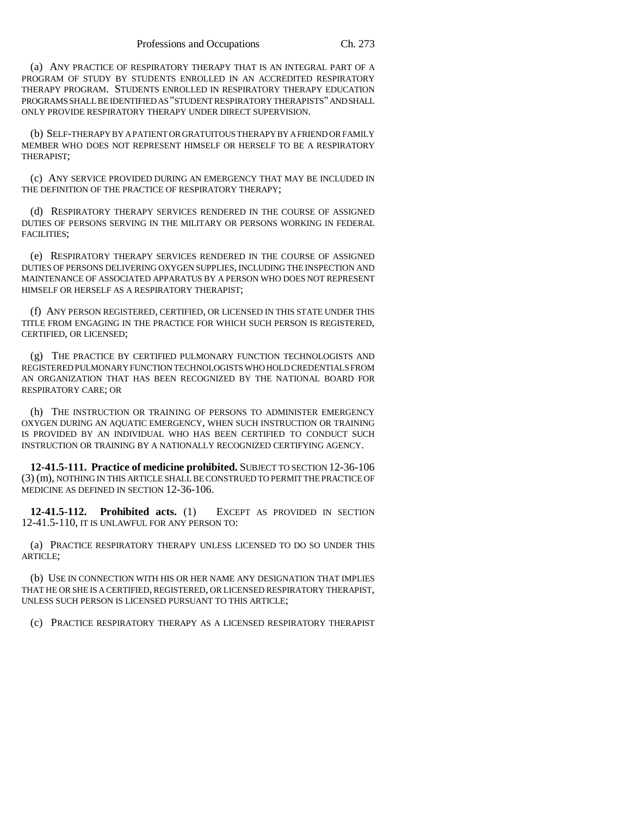(a) ANY PRACTICE OF RESPIRATORY THERAPY THAT IS AN INTEGRAL PART OF A PROGRAM OF STUDY BY STUDENTS ENROLLED IN AN ACCREDITED RESPIRATORY THERAPY PROGRAM. STUDENTS ENROLLED IN RESPIRATORY THERAPY EDUCATION PROGRAMS SHALL BE IDENTIFIED AS "STUDENT RESPIRATORY THERAPISTS" AND SHALL ONLY PROVIDE RESPIRATORY THERAPY UNDER DIRECT SUPERVISION.

(b) SELF-THERAPY BY A PATIENT OR GRATUITOUS THERAPY BY A FRIEND OR FAMILY MEMBER WHO DOES NOT REPRESENT HIMSELF OR HERSELF TO BE A RESPIRATORY THERAPIST;

(c) ANY SERVICE PROVIDED DURING AN EMERGENCY THAT MAY BE INCLUDED IN THE DEFINITION OF THE PRACTICE OF RESPIRATORY THERAPY;

(d) RESPIRATORY THERAPY SERVICES RENDERED IN THE COURSE OF ASSIGNED DUTIES OF PERSONS SERVING IN THE MILITARY OR PERSONS WORKING IN FEDERAL FACILITIES;

(e) RESPIRATORY THERAPY SERVICES RENDERED IN THE COURSE OF ASSIGNED DUTIES OF PERSONS DELIVERING OXYGEN SUPPLIES, INCLUDING THE INSPECTION AND MAINTENANCE OF ASSOCIATED APPARATUS BY A PERSON WHO DOES NOT REPRESENT HIMSELF OR HERSELF AS A RESPIRATORY THERAPIST;

(f) ANY PERSON REGISTERED, CERTIFIED, OR LICENSED IN THIS STATE UNDER THIS TITLE FROM ENGAGING IN THE PRACTICE FOR WHICH SUCH PERSON IS REGISTERED, CERTIFIED, OR LICENSED;

(g) THE PRACTICE BY CERTIFIED PULMONARY FUNCTION TECHNOLOGISTS AND REGISTERED PULMONARY FUNCTION TECHNOLOGISTS WHO HOLD CREDENTIALS FROM AN ORGANIZATION THAT HAS BEEN RECOGNIZED BY THE NATIONAL BOARD FOR RESPIRATORY CARE; OR

(h) THE INSTRUCTION OR TRAINING OF PERSONS TO ADMINISTER EMERGENCY OXYGEN DURING AN AQUATIC EMERGENCY, WHEN SUCH INSTRUCTION OR TRAINING IS PROVIDED BY AN INDIVIDUAL WHO HAS BEEN CERTIFIED TO CONDUCT SUCH INSTRUCTION OR TRAINING BY A NATIONALLY RECOGNIZED CERTIFYING AGENCY.

**12-41.5-111. Practice of medicine prohibited.** SUBJECT TO SECTION 12-36-106 (3) (m), NOTHING IN THIS ARTICLE SHALL BE CONSTRUED TO PERMIT THE PRACTICE OF MEDICINE AS DEFINED IN SECTION 12-36-106.

**12-41.5-112. Prohibited acts.** (1) EXCEPT AS PROVIDED IN SECTION 12-41.5-110, IT IS UNLAWFUL FOR ANY PERSON TO:

(a) PRACTICE RESPIRATORY THERAPY UNLESS LICENSED TO DO SO UNDER THIS ARTICLE;

(b) USE IN CONNECTION WITH HIS OR HER NAME ANY DESIGNATION THAT IMPLIES THAT HE OR SHE IS A CERTIFIED, REGISTERED, OR LICENSED RESPIRATORY THERAPIST, UNLESS SUCH PERSON IS LICENSED PURSUANT TO THIS ARTICLE;

(c) PRACTICE RESPIRATORY THERAPY AS A LICENSED RESPIRATORY THERAPIST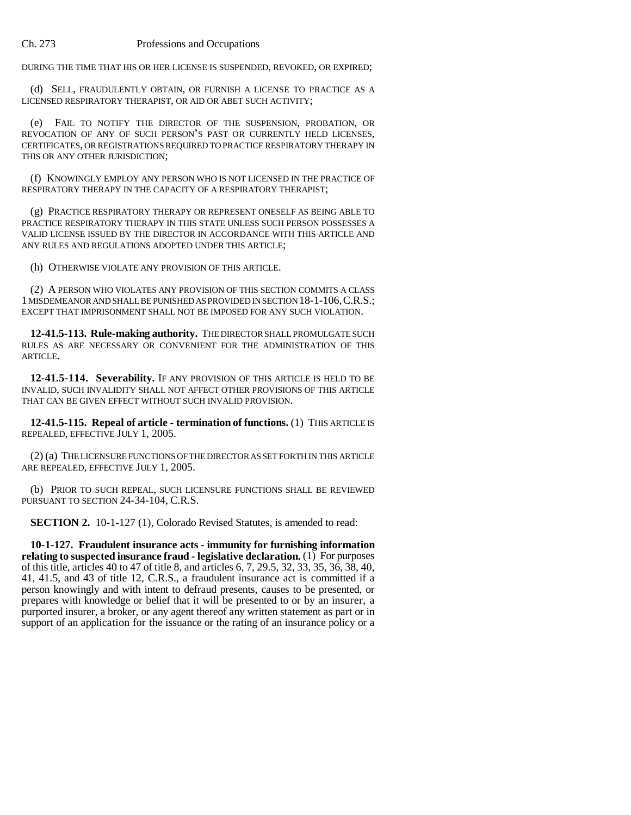DURING THE TIME THAT HIS OR HER LICENSE IS SUSPENDED, REVOKED, OR EXPIRED;

(d) SELL, FRAUDULENTLY OBTAIN, OR FURNISH A LICENSE TO PRACTICE AS A LICENSED RESPIRATORY THERAPIST, OR AID OR ABET SUCH ACTIVITY;

(e) FAIL TO NOTIFY THE DIRECTOR OF THE SUSPENSION, PROBATION, OR REVOCATION OF ANY OF SUCH PERSON S PAST OR CURRENTLY HELD LICENSES, CERTIFICATES, OR REGISTRATIONS REQUIRED TO PRACTICE RESPIRATORY THERAPY IN THIS OR ANY OTHER JURISDICTION;

(f) KNOWINGLY EMPLOY ANY PERSON WHO IS NOT LICENSED IN THE PRACTICE OF RESPIRATORY THERAPY IN THE CAPACITY OF A RESPIRATORY THERAPIST;

(g) PRACTICE RESPIRATORY THERAPY OR REPRESENT ONESELF AS BEING ABLE TO PRACTICE RESPIRATORY THERAPY IN THIS STATE UNLESS SUCH PERSON POSSESSES A VALID LICENSE ISSUED BY THE DIRECTOR IN ACCORDANCE WITH THIS ARTICLE AND ANY RULES AND REGULATIONS ADOPTED UNDER THIS ARTICLE;

(h) OTHERWISE VIOLATE ANY PROVISION OF THIS ARTICLE.

(2) A PERSON WHO VIOLATES ANY PROVISION OF THIS SECTION COMMITS A CLASS 1 MISDEMEANOR AND SHALL BE PUNISHED AS PROVIDED IN SECTION 18-1-106,C.R.S.; EXCEPT THAT IMPRISONMENT SHALL NOT BE IMPOSED FOR ANY SUCH VIOLATION.

**12-41.5-113. Rule-making authority.** THE DIRECTOR SHALL PROMULGATE SUCH RULES AS ARE NECESSARY OR CONVENIENT FOR THE ADMINISTRATION OF THIS ARTICLE.

**12-41.5-114. Severability.** IF ANY PROVISION OF THIS ARTICLE IS HELD TO BE INVALID, SUCH INVALIDITY SHALL NOT AFFECT OTHER PROVISIONS OF THIS ARTICLE THAT CAN BE GIVEN EFFECT WITHOUT SUCH INVALID PROVISION.

**12-41.5-115. Repeal of article - termination of functions.** (1) THIS ARTICLE IS REPEALED, EFFECTIVE JULY 1, 2005.

(2) (a) THE LICENSURE FUNCTIONS OF THE DIRECTOR AS SET FORTH IN THIS ARTICLE ARE REPEALED, EFFECTIVE JULY 1, 2005.

(b) PRIOR TO SUCH REPEAL, SUCH LICENSURE FUNCTIONS SHALL BE REVIEWED PURSUANT TO SECTION 24-34-104, C.R.S.

**SECTION 2.** 10-1-127 (1), Colorado Revised Statutes, is amended to read:

**10-1-127. Fraudulent insurance acts - immunity for furnishing information relating to suspected insurance fraud - legislative declaration.** (1) For purposes of this title, articles 40 to 47 of title 8, and articles 6, 7, 29.5, 32, 33, 35, 36, 38, 40, 41, 41.5, and 43 of title 12, C.R.S., a fraudulent insurance act is committed if a person knowingly and with intent to defraud presents, causes to be presented, or prepares with knowledge or belief that it will be presented to or by an insurer, a purported insurer, a broker, or any agent thereof any written statement as part or in support of an application for the issuance or the rating of an insurance policy or a